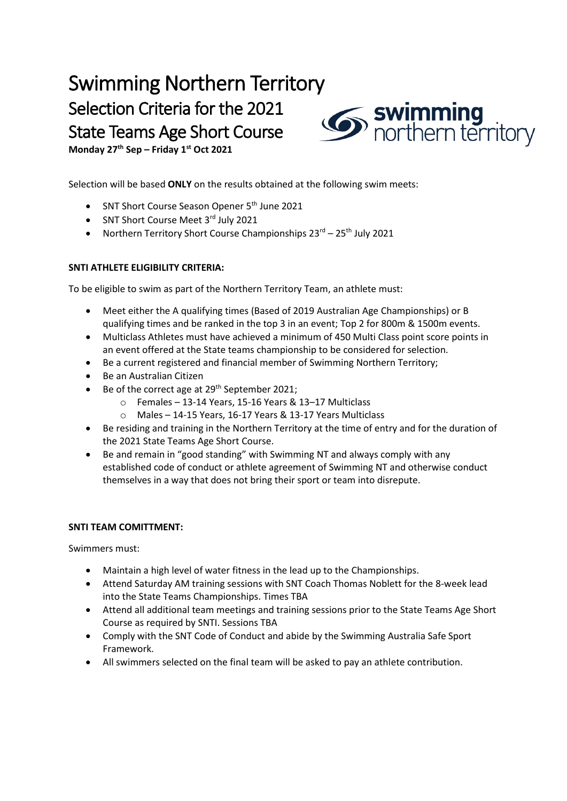## Swimming Northern Territory Selection Criteria for the 2021 State Teams Age Short Course



**Monday 27 th Sep – Friday 1st Oct 2021**

Selection will be based **ONLY** on the results obtained at the following swim meets:

- SNT Short Course Season Opener 5<sup>th</sup> June 2021
- SNT Short Course Meet 3rd July 2021
- Northern Territory Short Course Championships  $23^{rd} 25^{th}$  July 2021

## **SNTI ATHLETE ELIGIBILITY CRITERIA:**

To be eligible to swim as part of the Northern Territory Team, an athlete must:

- Meet either the A qualifying times (Based of 2019 Australian Age Championships) or B qualifying times and be ranked in the top 3 in an event; Top 2 for 800m & 1500m events.
- Multiclass Athletes must have achieved a minimum of 450 Multi Class point score points in an event offered at the State teams championship to be considered for selection.
- Be a current registered and financial member of Swimming Northern Territory;
- Be an Australian Citizen
- Be of the correct age at  $29<sup>th</sup>$  September 2021;
	- o Females 13-14 Years, 15-16 Years & 13–17 Multiclass
	- o Males 14-15 Years, 16-17 Years & 13-17 Years Multiclass
- Be residing and training in the Northern Territory at the time of entry and for the duration of the 2021 State Teams Age Short Course.
- Be and remain in "good standing" with Swimming NT and always comply with any established code of conduct or athlete agreement of Swimming NT and otherwise conduct themselves in a way that does not bring their sport or team into disrepute.

## **SNTI TEAM COMITTMENT:**

Swimmers must:

- Maintain a high level of water fitness in the lead up to the Championships.
- Attend Saturday AM training sessions with SNT Coach Thomas Noblett for the 8-week lead into the State Teams Championships. Times TBA
- Attend all additional team meetings and training sessions prior to the State Teams Age Short Course as required by SNTI. Sessions TBA
- Comply with the SNT Code of Conduct and abide by the Swimming Australia Safe Sport Framework.
- All swimmers selected on the final team will be asked to pay an athlete contribution.